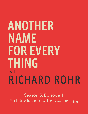## ANOTHER NAME **FOR EVERY THING** with RICHARD ROHR

Season 5, Episode 1 An Introduction to The Cosmic Egg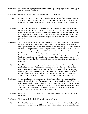Brie Stoner: So, Swanson, we're going to talk about the cosmic egg. We're going to lay the cosmic egg, if you will. See what I did there?

Paul Swanson: I love what you did there. I love the idea of laying a cosmic egg.

- Brie Stoner: No small feat, but in all seriousness, Richard has this very helpful frame that we wanted to explore within the guise of kind of like a final exploration of talking about the Universal Christ. He lays out the cosmic egg as this nested, My Story within Our Story within The Story.
- Paul Swanson: Yeah. It's a very useful frame that he's used over the years and really kind of emerged into something central that he's working with as a teaching tool in his latest book, The Wisdom Pattern. And it was fun to hear the ways that he is teasing this out, not only through kind of the larger context of the Christian contemplative tradition, but also with the lens of our time right now in these strange and confusing times that we find ourselves in within the pandemic.
- Brie Stoner: Yeah. The Twilight Zone that has been 2020 and still 2021. And I think, you know, it's okay to name that many of those who are listening—and it's certainly myself—had a little bit of an allergic reaction to like, "oh no, another frame; oh no, another map." And who, and what exactly is The Story? And who's determining The Story and what's, you know, and shouldn't we be a little bit suspicious of dominant Our Stories and especially within the context of a lot of the racial reckoning that's happening in our country. So, I want to say that it was really fun to talk about the cosmic egg and in more of a fluid, unfolding, reciprocal terminology. You know? I mentioned that I found it easier to think of the cosmic egg as music, as if My Story, Our Story, and The Story are being layered, and are harmonizing and unfolding as if in a song.
- Paul Swanson: Yeah. I love that too. And I appreciate the way you named that. As three historically privileged people, that we're being transparent about the work that we're doing, and the maps that we have at our disposal, and the way that we are acknowledging that and also continue to do the work, to see the blind spots with how we engage in these maps, but fully recognize the dynamic, hugeness of reality, and how we step into that. And I think this episode dips into that as we talk about the overall arching cosmic egg and meaning…
- Brie Stoner: Oh, for sure. I mean, you know, we're in a time of great unknowing in so many different ways, and especially for those of us who are white: we are necessarily in a time of unknowing, and unlearning, and unsaying. And so, for all of us, I think that this frame of the cosmic egg can be a helpful tool for us to make sense out of the many complex and dynamic unfoldings and topplings that are happening in our time. So, with that, we hope that you'll enjoy this episode on Season Five of Another Name for Every Thing.
- Paul Swanson: Richard and Brie, it's so good to be with you again for our final season of Another Name for Every Thing.
- Brie Stoner: The hermitage looks a little different, but outside of that...
- Paul Swanson: Our virtual hermitage, here on Zoom. It's nice to concoct it for us. We're excited to explore this theme of the Cosmic Egg of Meaning with you, Richard. And it's been something that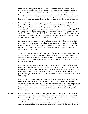you've shared before, particularly around the CAC over the years that I've been here. And it's also been included in a couple of your books, and most recently The Wisdom Pattern, and we thought this would be a ripe theme for us to explore for this final season, but also knowing that this is probably a theme and a map that's new to a lot of folks. So, if someone were hearing this idea of the Cosmic Egg of Meaning, which I'm sure conjures up some fun images, how would you paint a picture of what you mean by the Cosmic Egg of Meaning?

Richard Rohr: Okay. I'll try. I learned it years ago from a scholar whose name you might be familiar with, Joseph Chilton Pearce. And he wrote a book, The Crack of the Cosmic Egg, introducing an image of wholeness in the cosmic egg and yet admitting that in our time, it was all cracked, that it was not holding together. So, you have to start with the whole image, which is the cosmic egg, and then recognize that we live in a time where this wholeness no longer stands—for most people. And I think that's true, but it gives us…it's a pedagogical tool like so many things I teach: they're just tools. If they're not helpful to you forget them, but this one seems to have reoccurred in a helpful way for a lot of people.

> So, picture an egg, the center yoke, is [what] we're going to call My Story; my individual journey; my individual identity; my individual woundings: what I have gone through by reason of living in this culture, this religion, with these parents, in this century—all of the My statements. And Socrates, the father of Greek philosophy, is supposed to have written over his door: "Know thyself."

 There it is. That's the foundation of philosophy: self-knowledge. And that's what the cosmic egg is saying too. If you try to jump over self-knowledge and know your own biases, your own woundedness, your own shadow as we say now, you won't know how to interpret the other levels, or you'll misinterpret them— probably better said. So, hold onto the little inner yoke of self-knowledge.

 Now, a lot of people, especially in our age of, where we enjoy the gift of psychology, and therapy, and things like the Enneagram, and spiritual direction, and so forth, this world has become so exciting; so, filled with good ideas that are very satisfying, especially when you're young, because they… "Oh, I finally got an identity. I finally got a name." That a lot of people, if they go there at all, but if they do, they spend the first thirty years of life just inside of My Story.

 Now thankfully, the great wisdom traditions would surround the inner yolk with—I guess we're moving into the white of the egg with Our Story—let's try first of all, text inside of context. So, you write the text with your own life, your own agenda, your own temperament, your own personality, your own history. Well, maybe history is moving into Our Story, but you can't understand it without situating it. When I was studying moral theology in the sixties, we spoke

Richard Rohr: of situation ethics: that to name an action pure or perfect, or wrong and sinful outside of situations, usually it wasn't a very accurate reading. Now at that time, most traditionalist folks just hated the very word situation ethics, but, you know, in morning prayer today, we read the Gospel of Jesus justifying his own disciples for picking corn on the Sabbath. I mean, the Sabbath rule is very clear and yet Jesus said, my guys are hungry; it's okay. I'm afraid that situation ethics, that he refused to condemn his own men who are picking corn, doing work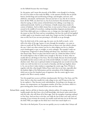on the Sabbath because they were hungry.

 So, the genius, and I mean this sincerely, of the Bible—even though it's so boring for a lot of us when we first study the Bible—is the amount of books that are Jewish history, Jewish Kings and overthrowing of Kings, and droughts, and wars, and adulteries, and attacks, and betrayals. And you just have to say, why do we need to know all this? Well, you don't have to, but if you do know why Jeremiah is saying what he's saying, in what century of Jewish history he's talking, it sure helps you understand Jeremiah. And for us as Christians, it finally situates Jesus inside of a context of Judaism. And we didn't situate him; we just acted as if Jesus was walking around in the middle of everywhere, making immediate dogmatic proclamations. And if they didn't grab you, or influence you, or change you, that might be much of the reason we have My Story and my woundedness, but how the word of God applied or didn't apply to my situation wasn't made clear. Forgive me that I'm taking a bit of time on this, but if you can start picturing it, it'll clarify as we go through.

 Now, the third circle of the cosmic egg, the outer, not the shell so much—we're still in the white of the egg, I guess, to carry through the metaphor—we come to what we would call The Story, the patterns that are always true, that which is always the case. I don't care what country you live in, what religion you live in, whether you're handicapped, or gay, or straight, or you're unhappy. The example I easily use is forgiveness. Forgiveness is always healing and always true. And there's no place that doesn't help. There's no place that doesn't work. So, I think the failure of all of the world religions is that we didn't move enough to The Story. In short, what we usually did was call things in Our Story, The Story finally. Because the Jewish people beautifully had the notion in this case of the Jewish Sabbath, we made it a universal absolute truth. There sure is spiritual wisdom in keeping holy one-seventh of your life; works very well, but don't tie it too much to Saturday, and don't get legalistic about it. So, you see how it takes wisdom to unpackage the cosmic egg. Now, I'll draw it together with this: what Joseph Chilton Pearce said, that in our time, especially after the dualistic fights of the Reformation and the rationalism of the Enlightenment, which sent us into five hundred years of argument, that the cosmic egg for most people in the West is utterly cracked.

 Very few people have access to all three simultaneously: My Story, Our Story, and The Story. And so, what they usually do is take refuge in one, and I'll stop on this, but let me explain it. They become overly individualistic. Everything is my therapy, my dreams, my temperament, my Enneagram number, all of that, you know, which is a great starting point, know yourself, know your own lens, other

Richard Rohr: people. And we call this in America today, identity politics. It's tearing us apart. It's usually people who don't have a lot of self-knowledge, who haven't spent much time with the yoke, who will throw all of their eggs. Now the metaphor is getting confused in Our Story. And you have to do that, you really do, but if that's your only circle of meaning, if you overstate the second, you usually avoid and miss out on the first and the third. Well, you might use the third, but it won't have much depth to it.

Now this is the final point. If you run too quickly, you try to make what I always call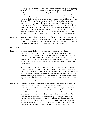a nonstop flight to The Story. We call that today or many call that spiritual bypassing, where you allow no talk of personality, or self- knowledge; you say, as many fundamentalists do, that's mere psychology, that's mere babble. And it's because they haven't moved around in that, they're not familiar with the language or the clarifying of the issue of race today that America necessarily must go through until we begin to heal it. It's denied as even an issue; it's just utterly denied. No, we will not let you talk about race. We will not let you talk about gender. You must talk about Jesus outside of any context, any critical thinking, any holistic thinking. So, the cosmic egg is a marvelous image of healing, of wholeness, of wholeness of the nested eggs are layers of meaning in which a whole person is able to live. So, what we're doing in the work of healing is helping people to retrieve the one or the other layer, My Story, or Our Story, or the faults jump to The Story that maybe they are involved in. There it is in a very oversimplified, but I hope very helpful way. Now you helped me unpackage it.

- Brie Stoner: Yeah, no, thanks Richard. It is incredibly helpful, and I think it's so meaningful to be able to process it together over a few episodes because I think in today's society, there's a natural kind of allergic reaction to, you know, well, who's determining Our Story or The Story? Whose dominant voice is declaring what The Story even is?
- Richard Rohr: That's right.
- Brie Stoner: And, also, what is the healthy role of reclaiming My Story, especially for those who have been silenced or oppressed? So, this is going to be a really rich conversation, but to unpack the egg a little bit more, Paul and I, as we were preparing for this recording, realized that there was a common experience in what we talked about: the experience of maps and map makers. And it might be helpful to hear The Story because it might help us unpack the cosmic egg, not as a map, but as a fluid, reciprocal, nested reality as you described.

 So, the story goes something like this. Paul and I are, we were prepping and we're having a conversation and I said, you know, I mean, I think there's this experience that we share where we're all being, you know, we're wandering around and somebody comes down and tells us about a wardrobe, a magical wardrobe. And they lead us up the stairs, and we go up the stairs to an attic, and we find…this is the religious kind of journey, right? Or the journey of the self. We journey up the stairs with this other person and we find a group of

Brie Stoner: people who are camped out in front of the wardrobe. And there's lots of groups of people camped out in front of the wardrobe, and they're all there to worship the wardrobe. And they all have maps about the wardrobe, how to get to the wardrobe. Do you take the backstairs or the front stairs? Does the wardrobe have three hinges or four? Is it painted or is it not? And we turn—and this would be maybe equivalent to the Our Story—we turn the wardrobe into a wardrobe-ism, a religion of the wardrobe. And at some point, either a mystic comes through the wardrobe or we ourselves work up the courage to go into the wardrobe. And then the maps are useless. They got us there; but once you're in the wardrobe, you're in Narnia, and you have to trust your own experience, and walk in that kind of trusting faith or unknowing or embrace of the mysterious. And so, as we were reflecting on the cosmic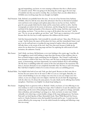egg and mapmaking, you know, we were wanting to illustrate that this is a fluid system; it's a dynamic system. We're not going to be discussing the cosmic egg as the next map of wardrobe-ism that you need to worship. But, you know, Paul, you also talked about a DeMello story involving maps that you thought was helpful.

Paul Swanson: Yeah. Richard, you probably know this story. It was one of my favorites from Anthony DeMello, where he tells the story about this adventurer who lives in this kind of secluded town and leaves town and goes and explores places that no one has ever been. And he's gone for years; people think that he's dead, and he comes back, and he's so alive. And the townspeople are smitten by his stories of adventure, and the things that he's experienced, and kind of the depth and quality of his character and his energy. And they start saying, they start asking, you know, "Can you draw us a map to all the places that you went?" And he says, "No, no, no, go, go explore, go out there," and, "You've got to experience it for yourself because that's the true way to really experience this wildness and this terrain."

> And they keep pestering him. And eventually he concedes and says "okay, okay, I'll draw you a map." And he draws the map to all the places he's been, and they immediately frame it and put it on the wall and start to worship the map instead of explore where the map actually will take them, to the terrain of the soul. And I love that story because it holds up the mirror for me about how I'm using maps and how I'm exploring the wild terrain of God's invitation, the unknown. Exactly.

- Brie Stoner: And I think, you know, full disclosure, as we were looking at the cosmic egg, I was like, oh, I'm struggling so much with looking at maps these days because of that tendency that we have as human beings to make something into the blueprint. But I found I could make it more dynamic to think of My Story, Our Story, and The Story as being layered almost like music, as harmonizing, and most importantly, not entirely finished; they're still unfolding. The My Story is unfolding within the context of the Our and whatever the mysterious The Story is, because obviously it's not completely knowable what The Story is and is becoming. But I did find it helpful to think of it in terms of music and as an unfolding process.
- Richard Rohr: Very helpful what both of you said. Yeah, gee that's good. Because we don't want this to become the new answer, but we do want to offer it to you as a tool again. Basically, you create critical thinking so you can critique your own story so you can critique your own culture, so you can critique your own religion. And how do you do that? By integrating it with the other two. It's always the same pattern. So yeah, thank you for offering those further metaphors. I find them very helpful. Go ahead; keep leading me.
- Brie Stoner: [laughing] You're so generous with us, Richard. I think, you know, as I was reflecting on my own tendency to want to turn things into maps, what I realized is: it's just the unknown, and unknowing, and the terror of becoming that makes me want to grab on to things, and make them orthodoxy, and something I can hang on to. And, you know, in some ways I think culturally, we're observing a certain healthy critique of the map-making process. You know, Paul and I are both big fans of Bayo Akomolafe's book, These Wilds Beyond Our Fences, and in it, Charles Eisenstein writes this beautiful Foreward and he says, "it wasn't just that society offered us the wrong map. It was the whole formula for making and following a map that was wrong."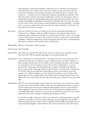And I find that so stunning and helpful to make sense out of, you know, my own process. And I think the need to make a map or the need to cling to a map comes from often the terror of surrendering to not knowing, to having to have faith, but also is a tendency that we have to…, you know, that we've inherited to dominate and subdue the unknown. And often that tends to result in map makers intellectually, or those of us who cling to maps, as intellectually proving our understanding while being entirely disconnected from the moral and just responsibility of embodiment and relation to all bodies, like we've been discussing on The Cosmic Christ. And you know, another helpful lens that may help folks— is perhaps what we need as we explore these topics over the next couple of episodes—isn't the lens of a map maker, but the lens of an artist.

- Brie Stoner: And you can think of it this way: for those of you who are artistically inclined like me to be those who are willing to make the middle, the process, the end goal, rather than the beginning and an end because sometimes we're trying to get from here to there; we're trying to arrive. And if instead, we raise an altar to beauty, to mystery, to the present moment that's unfolding, I think that might help us in this conversation about My Story, its relationship to Our Story, and whatever the beautiful mystery of The Story is.
- Richard Rohr: Well put. My goodness. Thank you both.
- Paul Swanson: That's beautiful.
- Richard Rohr: Yeah. Why do we do this? We make the last word out of what was just intended to be the first word. Yeah. Well, keep going; unpackage it; you're already doing well.
- Paul Swanson: I have a question for you along these lines. You know, I love the way you said it just a few moments ago about the text within the context, within the pattern of reality. And then as Brie is saying, you know, have, let the middle, let the becoming be the place to put yourself in to participate in that becoming. So, part of the way that I understand is—as you've portrayed the cosmic egg—that particular groups or segments of people, they approach just one aspect of the, of this egg, whether it's the My Story, or the Our Story, or bypassing to The Story. Why do you think that certain folks are drawn to just hold on to just one segment? Is it a failure of religion to see the whole, that invitation to see the whole of the layered egg, the lack of understanding of the middle of the becoming being the thrust of it.? What's your sense of that? Why do some folks only really want to hang out in one part of the egg?
- Richard Rohr: Well, I'll never know the perfect answer to that, but I just look at my own life: how it took so many years to honor all three equally. And I do mean equally; honoring My as much as The but needing The more because it holds the whole together. My Story cannot hold the whole together. So, I guess it's where we're first led. If we're first led into dealing with our own family difficulties or whatever, we want to get out of that box as soon as we can, and we spend much of our life in therapy or analyzing and looking at ourselves.

 Let me throw in right at this point, and I'm not trying to be a Christian preacher or Jewish preacher in saying this, I want you to keep reflecting as we go through this, that the Bible really incorporates all three. And it's why we Catholics found the Bible so boring because we weren't interested [laughter] in Jewish history. We weren't interested in context. We weren't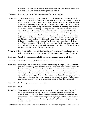interested in Jeroboam and all these other characters. Now, you good Protestants tried to be interested in Jeroboam. I don't know how you succeeded at it…

- Brie Stoner: It was very genuine, Richard. It's a deep love of Jeroboam. [laughter]
- Richard Rohr: …but then you seem to me to put so much time in the memorizing Our Story, much of which was context outside of text, and it didn't help you enter into the real world, or the real self, or real religion. Then, those who got a religious answer too early, too quickly, they were given answers before they were struggling for the right question. And I bet that was the case with all three of us. I was learning Catholic catechism answers in the first grade at six, which did hold me together but in a very naive way; but that's all the little six-year-old psyche needs. And the trouble was there wasn't enough adult education, adult spirituality, adult journey-making. And I guess that's why we're offering this: this is an adult religion, which you only come to as an adult. You have to have gone in and out of My, in and out of Our, and in and out of The, and that takes seventy years or eighty if we are strong, to just quote the Bible, the Psalm, you know. So, it's nobody's fault; not that you're trying to attribute fault, but you are asking a good question. Why do most people spend their whole lives in one of these boxes? In short, liberals today stay in the center box because it's a new discovery or the yolk, as I called it; conservatives who don't spend much time on self-knowledge, spend the time on the inner white of the egg. And that's good,
- Richard Rohr: but without self-knowledge, our God knowledge, it's not great stuff. It really isn't. It always makes you self-preoccupied or fact-preoccupied. You know, I have the right information.
- Brie Stoner: Yeah. It also makes us obsessed with proving how other people don't have it right.
- Richard Rohr: That's right. Other people don't know about Jeroboam. [laughter]
- Brie Stoner: For example. That wasn't quite the example I was thinking of, but yeah, it works. But even, you know, just thinking about the situation we find ourselves in right now politically in the U.S., and globally as well in different ways in Western countries, but the echo chambers that we find ourselves in of whatever the Our or My Story is, it's really nauseating because we're losing touch with that sense of wholeness and interconnection that allows us to transcend and see the bigger picture, so that we don't allow the smaller echoes to become the whole reality, which is precisely what's seems to be happening. I'm so glad we're having this conversation. So, shall we dive in to talking about My Story? Does that sound good?
- Richard Rohr: Yes. Let me just make one more connection.
- Brie Stoner: Do it!
- Richard Rohr: The President of the United States who will remain unnamed, who is now going out of office, and the President coming in, who will also remain unnamed, they're both our Jeroboam story. Do you understand? Don't absolutize either one of them, and that's what gets you trapped in political thinking and political infighting about he's just, there's just one king in the history of kings of Judah or kings of Israel. So, I hope that does give us a way to apply this. [music]

Paul Swanson: And that's it for today's episode of Another Name for Every Thing with Richard Rohr. This